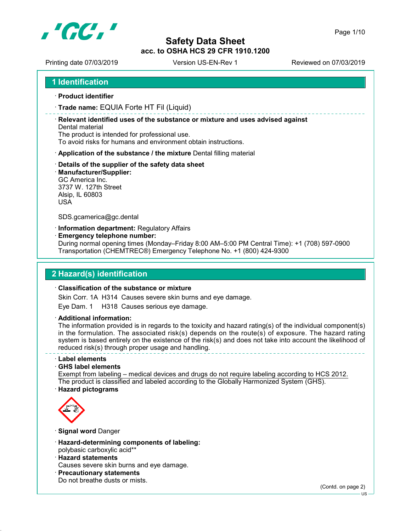

Printing date 07/03/2019 Version US-EN-Rev 1 Printing date 07/03/2019

1 Identification

- · Product identifier
- · Trade name: EQUIA Forte HT Fil (Liquid)

· Relevant identified uses of the substance or mixture and uses advised against Dental material

The product is intended for professional use.

To avoid risks for humans and environment obtain instructions.

- · Application of the substance / the mixture Dental filling material
- · Details of the supplier of the safety data sheet
- · Manufacturer/Supplier:

GC America Inc. 3737 W. 127th Street Alsip, IL 60803 USA

SDS.gcamerica@gc.dental

· Information department: Regulatory Affairs

· Emergency telephone number:

During normal opening times (Monday–Friday 8:00 AM–5:00 PM Central Time): +1 (708) 597-0900 Transportation (CHEMTREC®) Emergency Telephone No. +1 (800) 424-9300

#### 2 Hazard(s) identification

#### · Classification of the substance or mixture

Skin Corr. 1A H314 Causes severe skin burns and eye damage.

Eye Dam. 1 H318 Causes serious eye damage.

· Additional information:

The information provided is in regards to the toxicity and hazard rating(s) of the individual component(s) in the formulation. The associated risk(s) depends on the route(s) of exposure. The hazard rating system is based entirely on the existence of the risk(s) and does not take into account the likelihood of reduced risk(s) through proper usage and handling.

· Label elements

· GHS label elements

Exempt from labeling – medical devices and drugs do not require labeling according to HCS 2012. The product is classified and labeled according to the Globally Harmonized System (GHS). · Hazard pictograms



· Signal word Danger

- · Hazard-determining components of labeling: polybasic carboxylic acid\*\*
- · Hazard statements
- Causes severe skin burns and eye damage.
- · Precautionary statements
- Do not breathe dusts or mists.

(Contd. on page 2)

US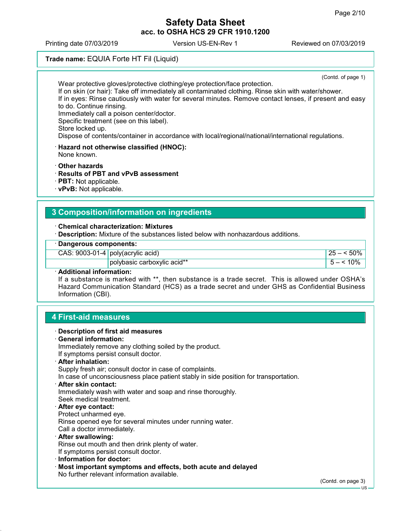Printing date 07/03/2019 Version US-EN-Rev 1 Reviewed on 07/03/2019

## Trade name: EQUIA Forte HT Fil (Liquid)

(Contd. of page 1) Wear protective gloves/protective clothing/eye protection/face protection. If on skin (or hair): Take off immediately all contaminated clothing. Rinse skin with water/shower. If in eyes: Rinse cautiously with water for several minutes. Remove contact lenses, if present and easy to do. Continue rinsing. Immediately call a poison center/doctor. Specific treatment (see on this label). Store locked up. Dispose of contents/container in accordance with local/regional/national/international regulations.

· Hazard not otherwise classified (HNOC): None known.

· Other hazards

- · Results of PBT and vPvB assessment
- · PBT: Not applicable.
- · vPvB: Not applicable.

#### 3 Composition/information on ingredients

· Chemical characterization: Mixtures

· Description: Mixture of the substances listed below with nonhazardous additions.

#### · Dangerous components:

|       | CAS: $9003-01-4$ poly(acrylic acid) | $125 - 50\%$ |  |
|-------|-------------------------------------|--------------|--|
|       | polybasic carboxylic acid**         |              |  |
| <br>. |                                     |              |  |

#### · Additional information:

If a substance is marked with \*\*, then substance is a trade secret. This is allowed under OSHA's Hazard Communication Standard (HCS) as a trade secret and under GHS as Confidential Business Information (CBI).

#### 4 First-aid measures

- · Description of first aid measures
- · General information:
- Immediately remove any clothing soiled by the product.
- If symptoms persist consult doctor.

#### · After inhalation:

Supply fresh air; consult doctor in case of complaints.

In case of unconsciousness place patient stably in side position for transportation.

· After skin contact:

Immediately wash with water and soap and rinse thoroughly. Seek medical treatment.

#### · After eye contact: Protect unharmed eye.

Rinse opened eye for several minutes under running water.

- Call a doctor immediately.
- · After swallowing:

Rinse out mouth and then drink plenty of water.

- If symptoms persist consult doctor.
- · Information for doctor:
- · Most important symptoms and effects, both acute and delayed No further relevant information available.

(Contd. on page 3)

US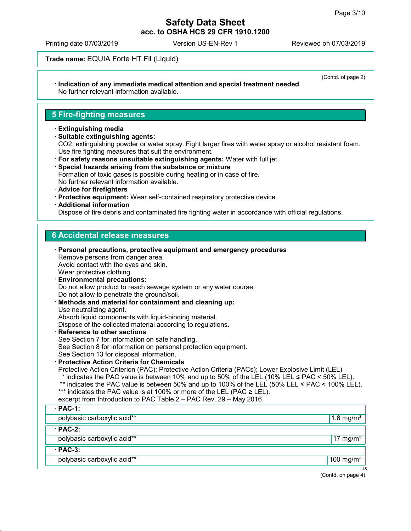(Contd. of page 2)

#### Safety Data Sheet acc. to OSHA HCS 29 CFR 1910.1200

Printing date 07/03/2019 Version US-EN-Rev 1 Reviewed on 07/03/2019

Trade name: EQUIA Forte HT Fil (Liquid)

#### · Indication of any immediate medical attention and special treatment needed No further relevant information available.

## 5 Fire-fighting measures

- · Extinguishing media
- · Suitable extinguishing agents: CO2, extinguishing powder or water spray. Fight larger fires with water spray or alcohol resistant foam. Use fire fighting measures that suit the environment. · For safety reasons unsuitable extinguishing agents: Water with full jet
- · Special hazards arising from the substance or mixture Formation of toxic gases is possible during heating or in case of fire. No further relevant information available.
- · Advice for firefighters
- · Protective equipment: Wear self-contained respiratory protective device.
- · Additional information

Dispose of fire debris and contaminated fire fighting water in accordance with official regulations.

#### 6 Accidental release measures

| $\cdot$ Personal precautions, protective equipment and emergency procedures<br>Remove persons from danger area.<br>Avoid contact with the eyes and skin.<br>Wear protective clothing.<br><b>Environmental precautions:</b><br>Do not allow product to reach sewage system or any water course.<br>Do not allow to penetrate the ground/soil.<br>· Methods and material for containment and cleaning up:<br>Use neutralizing agent.<br>Absorb liquid components with liquid-binding material.<br>Dispose of the collected material according to regulations.<br>· Reference to other sections<br>See Section 7 for information on safe handling.<br>See Section 8 for information on personal protection equipment.<br>See Section 13 for disposal information.<br><b>Protective Action Criteria for Chemicals</b><br>Protective Action Criterion (PAC); Protective Action Criteria (PACs); Lower Explosive Limit (LEL)<br>* indicates the PAC value is between 10% and up to 50% of the LEL (10% LEL $\leq$ PAC $\leq$ 50% LEL).<br>** indicates the PAC value is between 50% and up to 100% of the LEL (50% LEL $\leq$ PAC < 100% LEL).<br>*** indicates the PAC value is at 100% or more of the LEL (PAC $\geq$ LEL).<br>excerpt from Introduction to PAC Table 2 - PAC Rev. 29 - May 2016 |              |
|----------------------------------------------------------------------------------------------------------------------------------------------------------------------------------------------------------------------------------------------------------------------------------------------------------------------------------------------------------------------------------------------------------------------------------------------------------------------------------------------------------------------------------------------------------------------------------------------------------------------------------------------------------------------------------------------------------------------------------------------------------------------------------------------------------------------------------------------------------------------------------------------------------------------------------------------------------------------------------------------------------------------------------------------------------------------------------------------------------------------------------------------------------------------------------------------------------------------------------------------------------------------------------------------|--------------|
| $\cdot$ PAC-1:                                                                                                                                                                                                                                                                                                                                                                                                                                                                                                                                                                                                                                                                                                                                                                                                                                                                                                                                                                                                                                                                                                                                                                                                                                                                               |              |
| polybasic carboxylic acid**                                                                                                                                                                                                                                                                                                                                                                                                                                                                                                                                                                                                                                                                                                                                                                                                                                                                                                                                                                                                                                                                                                                                                                                                                                                                  | 1.6 mg/ $m3$ |
| $·$ PAC-2:                                                                                                                                                                                                                                                                                                                                                                                                                                                                                                                                                                                                                                                                                                                                                                                                                                                                                                                                                                                                                                                                                                                                                                                                                                                                                   |              |
| polybasic carboxylic acid**                                                                                                                                                                                                                                                                                                                                                                                                                                                                                                                                                                                                                                                                                                                                                                                                                                                                                                                                                                                                                                                                                                                                                                                                                                                                  | 17 mg/ $m3$  |
| $·$ PAC-3:                                                                                                                                                                                                                                                                                                                                                                                                                                                                                                                                                                                                                                                                                                                                                                                                                                                                                                                                                                                                                                                                                                                                                                                                                                                                                   |              |
| polybasic carboxylic acid**                                                                                                                                                                                                                                                                                                                                                                                                                                                                                                                                                                                                                                                                                                                                                                                                                                                                                                                                                                                                                                                                                                                                                                                                                                                                  | 100 mg/ $m3$ |
|                                                                                                                                                                                                                                                                                                                                                                                                                                                                                                                                                                                                                                                                                                                                                                                                                                                                                                                                                                                                                                                                                                                                                                                                                                                                                              | $US -$       |

(Contd. on page 4)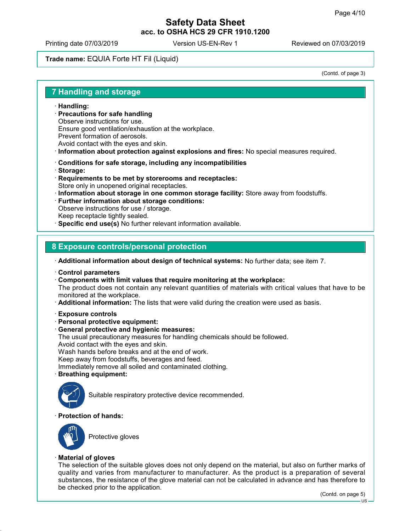Printing date 07/03/2019 Version US-EN-Rev 1 Reviewed on 07/03/2019

## Trade name: EQUIA Forte HT Fil (Liquid)

(Contd. of page 3)

#### 7 Handling and storage

- · Handling:
- · Precautions for safe handling Observe instructions for use. Ensure good ventilation/exhaustion at the workplace. Prevent formation of aerosols. Avoid contact with the eyes and skin.
- · Information about protection against explosions and fires: No special measures required.
- · Conditions for safe storage, including any incompatibilities
- · Storage:
- · Requirements to be met by storerooms and receptacles: Store only in unopened original receptacles.
- · Information about storage in one common storage facility: Store away from foodstuffs.
- · Further information about storage conditions: Observe instructions for use / storage. Keep receptacle tightly sealed.
- · Specific end use(s) No further relevant information available.

#### 8 Exposure controls/personal protection

· Additional information about design of technical systems: No further data; see item 7.

- · Control parameters
- · Components with limit values that require monitoring at the workplace:

The product does not contain any relevant quantities of materials with critical values that have to be monitored at the workplace.

- · Additional information: The lists that were valid during the creation were used as basis.
- · Exposure controls
- · Personal protective equipment:
- · General protective and hygienic measures:
- The usual precautionary measures for handling chemicals should be followed.
- Avoid contact with the eyes and skin.

Wash hands before breaks and at the end of work.

Keep away from foodstuffs, beverages and feed.

Immediately remove all soiled and contaminated clothing.

· Breathing equipment:



Suitable respiratory protective device recommended.

#### · Protection of hands:



Protective gloves

#### · Material of gloves

The selection of the suitable gloves does not only depend on the material, but also on further marks of quality and varies from manufacturer to manufacturer. As the product is a preparation of several substances, the resistance of the glove material can not be calculated in advance and has therefore to be checked prior to the application.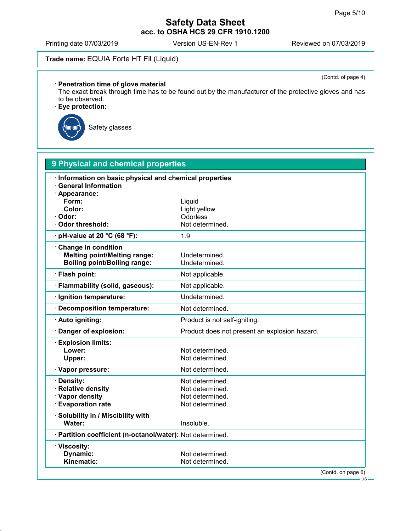Printing date 07/03/2019 Version US-EN-Rev 1 Reviewed on 07/03/2019

# Trade name: EQUIA Forte HT Fil (Liquid)

(Contd. of page 4)

#### · Penetration time of glove material

The exact break through time has to be found out by the manufacturer of the protective gloves and has to be observed.

· Eye protection:



Safety glasses

| <b>9 Physical and chemical properties</b>                  |                                               |  |  |
|------------------------------------------------------------|-----------------------------------------------|--|--|
| · Information on basic physical and chemical properties    |                                               |  |  |
| <b>General Information</b>                                 |                                               |  |  |
| Appearance:                                                |                                               |  |  |
| Form:                                                      | Liquid                                        |  |  |
| Color:                                                     | Light yellow                                  |  |  |
| Odor:<br><b>Odor threshold:</b>                            | Odorless<br>Not determined.                   |  |  |
|                                                            |                                               |  |  |
| pH-value at 20 °C (68 °F):                                 | 1.9                                           |  |  |
| <b>Change in condition</b>                                 |                                               |  |  |
| <b>Melting point/Melting range:</b>                        | Undetermined.                                 |  |  |
| <b>Boiling point/Boiling range:</b>                        | Undetermined.                                 |  |  |
| · Flash point:                                             | Not applicable.                               |  |  |
| Flammability (solid, gaseous):                             | Not applicable.                               |  |  |
| · Ignition temperature:                                    | Undetermined.                                 |  |  |
| <b>Decomposition temperature:</b>                          | Not determined.                               |  |  |
| Auto igniting:                                             | Product is not self-igniting.                 |  |  |
| Danger of explosion:                                       | Product does not present an explosion hazard. |  |  |
| · Explosion limits:                                        |                                               |  |  |
| Lower:                                                     | Not determined.                               |  |  |
| Upper:                                                     | Not determined.                               |  |  |
| · Vapor pressure:                                          | Not determined.                               |  |  |
| Density:                                                   | Not determined.                               |  |  |
| <b>Relative density</b>                                    | Not determined.                               |  |  |
| · Vapor density                                            | Not determined.                               |  |  |
| <b>Evaporation rate</b>                                    | Not determined.                               |  |  |
| Solubility in / Miscibility with                           |                                               |  |  |
| Water:                                                     | Insoluble.                                    |  |  |
| · Partition coefficient (n-octanol/water): Not determined. |                                               |  |  |
| · Viscosity:                                               |                                               |  |  |
| <b>Dynamic:</b>                                            | Not determined.                               |  |  |
| Kinematic:                                                 | Not determined.                               |  |  |
|                                                            | (Contd. on page 6)<br>US-                     |  |  |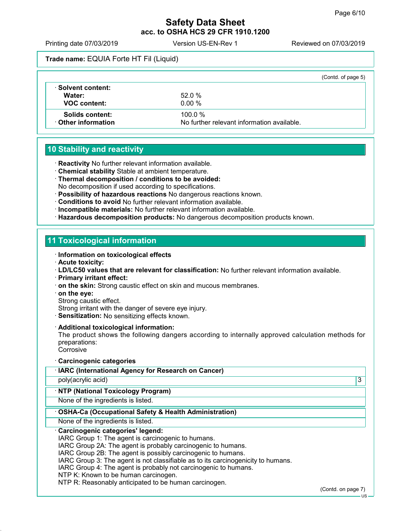Printing date 07/03/2019 Version US-EN-Rev 1 Reviewed on 07/03/2019

Trade name: EQUIA Forte HT Fil (Liquid)

|                            |                                            | (Contd. of page 5) |
|----------------------------|--------------------------------------------|--------------------|
| ⋅ Solvent content:         |                                            |                    |
| Water:                     | 52.0%                                      |                    |
| <b>VOC content:</b>        | $0.00 \%$                                  |                    |
| Solids content:            | $100.0 \%$                                 |                    |
| <b>⋅ Other information</b> | No further relevant information available. |                    |

# 10 Stability and reactivity

- · Reactivity No further relevant information available.
- · Chemical stability Stable at ambient temperature.
- · Thermal decomposition / conditions to be avoided: No decomposition if used according to specifications.
- · Possibility of hazardous reactions No dangerous reactions known.
- · Conditions to avoid No further relevant information available.
- · Incompatible materials: No further relevant information available.
- · Hazardous decomposition products: No dangerous decomposition products known.

# 11 Toxicological information

- · Information on toxicological effects
- · Acute toxicity:
- · LD/LC50 values that are relevant for classification: No further relevant information available.
- · Primary irritant effect:
- · on the skin: Strong caustic effect on skin and mucous membranes.
- · on the eye:
- Strong caustic effect.
- Strong irritant with the danger of severe eye injury.
- · Sensitization: No sensitizing effects known.
- · Additional toxicological information:

The product shows the following dangers according to internally approved calculation methods for preparations:

- Corrosive
- · Carcinogenic categories

| · Carcinogenic categories                                                                                                                                                                                                                                                                                                                                                                                                                                                      |   |
|--------------------------------------------------------------------------------------------------------------------------------------------------------------------------------------------------------------------------------------------------------------------------------------------------------------------------------------------------------------------------------------------------------------------------------------------------------------------------------|---|
| · IARC (International Agency for Research on Cancer)                                                                                                                                                                                                                                                                                                                                                                                                                           |   |
| poly(acrylic acid)                                                                                                                                                                                                                                                                                                                                                                                                                                                             | 3 |
| · NTP (National Toxicology Program)                                                                                                                                                                                                                                                                                                                                                                                                                                            |   |
| None of the ingredients is listed.                                                                                                                                                                                                                                                                                                                                                                                                                                             |   |
| OSHA-Ca (Occupational Safety & Health Administration)                                                                                                                                                                                                                                                                                                                                                                                                                          |   |
| None of the ingredients is listed.                                                                                                                                                                                                                                                                                                                                                                                                                                             |   |
| Carcinogenic categories' legend:<br>IARC Group 1: The agent is carcinogenic to humans.<br>IARC Group 2A: The agent is probably carcinogenic to humans.<br>IARC Group 2B: The agent is possibly carcinogenic to humans.<br>IARC Group 3: The agent is not classifiable as to its carcinogenicity to humans.<br>IARC Group 4: The agent is probably not carcinogenic to humans.<br>NTP K: Known to be human carcinogen.<br>NTP R: Reasonably anticipated to be human carcinogen. |   |
|                                                                                                                                                                                                                                                                                                                                                                                                                                                                                |   |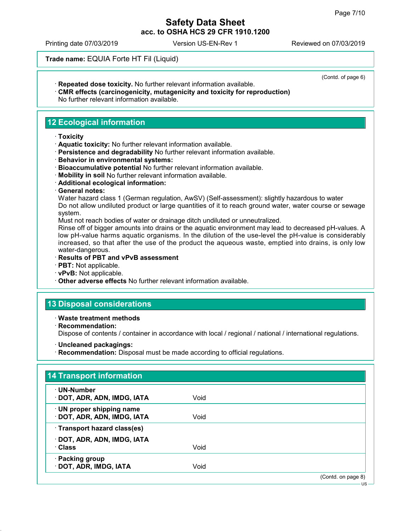Printing date 07/03/2019 Version US-EN-Rev 1 Reviewed on 07/03/2019

Trade name: EQUIA Forte HT Fil (Liquid)

· Repeated dose toxicity. No further relevant information available.

(Contd. of page 6)

· CMR effects (carcinogenicity, mutagenicity and toxicity for reproduction) No further relevant information available.

# 12 Ecological information

#### · Toxicity

- · Aquatic toxicity: No further relevant information available.
- · Persistence and degradability No further relevant information available.
- · Behavior in environmental systems:
- · Bioaccumulative potential No further relevant information available.
- · Mobility in soil No further relevant information available.
- · Additional ecological information:
- · General notes:

Water hazard class 1 (German regulation, AwSV) (Self-assessment): slightly hazardous to water Do not allow undiluted product or large quantities of it to reach ground water, water course or sewage system.

Must not reach bodies of water or drainage ditch undiluted or unneutralized.

Rinse off of bigger amounts into drains or the aquatic environment may lead to decreased pH-values. A low pH-value harms aquatic organisms. In the dilution of the use-level the pH-value is considerably increased, so that after the use of the product the aqueous waste, emptied into drains, is only low water-dangerous.

- · Results of PBT and vPvB assessment
- · PBT: Not applicable.
- · vPvB: Not applicable.
- · Other adverse effects No further relevant information available.

#### 13 Disposal considerations

- · Waste treatment methods
- · Recommendation:

Dispose of contents / container in accordance with local / regional / national / international regulations.

- · Uncleaned packagings:
- · Recommendation: Disposal must be made according to official regulations.

| $\cdot$ UN-Number            |      |  |
|------------------------------|------|--|
| · DOT, ADR, ADN, IMDG, IATA  | Void |  |
| · UN proper shipping name    |      |  |
| · DOT, ADR, ADN, IMDG, IATA  | Void |  |
| · Transport hazard class(es) |      |  |
| · DOT, ADR, ADN, IMDG, IATA  |      |  |
| <b>· Class</b>               | Void |  |
| · Packing group              |      |  |
| · DOT, ADR, IMDG, IATA       | Void |  |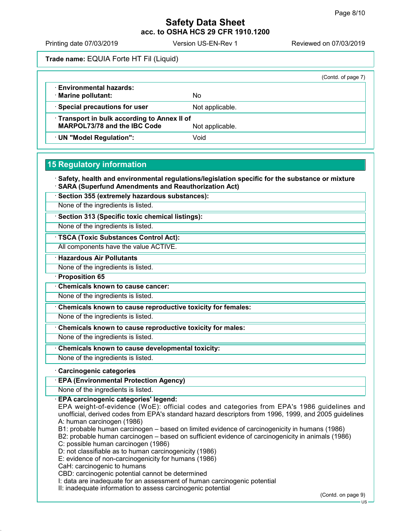Printing date 07/03/2019 Version US-EN-Rev 1 Reviewed on 07/03/2019

Trade name: EQUIA Forte HT Fil (Liquid)

|                                                                                   |                 | (Contd. of page 7) |
|-----------------------------------------------------------------------------------|-----------------|--------------------|
| <b>Environmental hazards:</b><br>· Marine pollutant:                              | No              |                    |
| Special precautions for user                                                      | Not applicable. |                    |
| Transport in bulk according to Annex II of<br><b>MARPOL73/78 and the IBC Code</b> | Not applicable. |                    |
| · UN "Model Regulation":                                                          | Void            |                    |

#### 15 Regulatory information

· Safety, health and environmental regulations/legislation specific for the substance or mixture · SARA (Superfund Amendments and Reauthorization Act)

· Section 355 (extremely hazardous substances):

None of the ingredients is listed.

· Section 313 (Specific toxic chemical listings):

None of the ingredients is listed.

· TSCA (Toxic Substances Control Act):

All components have the value ACTIVE.

**Hazardous Air Pollutants** 

None of the ingredients is listed.

· Proposition 65

· Chemicals known to cause cancer:

None of the ingredients is listed.

· Chemicals known to cause reproductive toxicity for females:

None of the ingredients is listed.

Chemicals known to cause reproductive toxicity for males:

None of the ingredients is listed.

· Chemicals known to cause developmental toxicity:

None of the ingredients is listed.

#### · Carcinogenic categories

· EPA (Environmental Protection Agency)

None of the ingredients is listed.

· EPA carcinogenic categories' legend:

EPA weight-of-evidence (WoE): official codes and categories from EPA's 1986 guidelines and unofficial, derived codes from EPA's standard hazard descriptors from 1996, 1999, and 2005 guidelines A: human carcinogen (1986)

B1: probable human carcinogen – based on limited evidence of carcinogenicity in humans (1986)

B2: probable human carcinogen – based on sufficient evidence of carcinogenicity in animals (1986) C: possible human carcinogen (1986)

D: not classifiable as to human carcinogenicity (1986)

E: evidence of non-carcinogenicity for humans (1986)

CaH: carcinogenic to humans

CBD: carcinogenic potential cannot be determined

I: data are inadequate for an assessment of human carcinogenic potential

II: inadequate information to assess carcinogenic potential

(Contd. on page 9)

US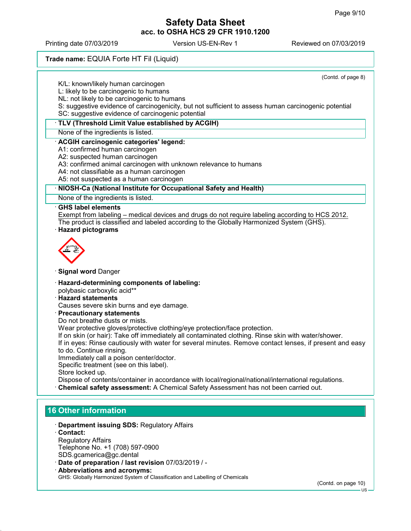Printing date 07/03/2019 Version US-EN-Rev 1 Reviewed on 07/03/2019

## Trade name: EQUIA Forte HT Fil (Liquid)

| (Contd. of page 8)<br>K/L: known/likely human carcinogen                                                                                                                                  |
|-------------------------------------------------------------------------------------------------------------------------------------------------------------------------------------------|
| L: likely to be carcinogenic to humans                                                                                                                                                    |
| NL: not likely to be carcinogenic to humans                                                                                                                                               |
| S: suggestive evidence of carcinogenicity, but not sufficient to assess human carcinogenic potential                                                                                      |
| SC: suggestive evidence of carcinogenic potential                                                                                                                                         |
| · TLV (Threshold Limit Value established by ACGIH)                                                                                                                                        |
| None of the ingredients is listed.                                                                                                                                                        |
| · ACGIH carcinogenic categories' legend:                                                                                                                                                  |
| A1: confirmed human carcinogen                                                                                                                                                            |
| A2: suspected human carcinogen                                                                                                                                                            |
| A3: confirmed animal carcinogen with unknown relevance to humans<br>A4: not classifiable as a human carcinogen                                                                            |
| A5: not suspected as a human carcinogen                                                                                                                                                   |
| · NIOSH-Ca (National Institute for Occupational Safety and Health)                                                                                                                        |
| None of the ingredients is listed.                                                                                                                                                        |
| <b>GHS label elements</b>                                                                                                                                                                 |
| Exempt from labeling – medical devices and drugs do not require labeling according to HCS 2012.                                                                                           |
| The product is classified and labeled according to the Globally Harmonized System (GHS).                                                                                                  |
| · Hazard pictograms                                                                                                                                                                       |
| <b>Signal word Danger</b>                                                                                                                                                                 |
| · Hazard-determining components of labeling:                                                                                                                                              |
| polybasic carboxylic acid**                                                                                                                                                               |
| · Hazard statements                                                                                                                                                                       |
| Causes severe skin burns and eye damage.                                                                                                                                                  |
| · Precautionary statements                                                                                                                                                                |
| Do not breathe dusts or mists.<br>Wear protective gloves/protective clothing/eye protection/face protection.                                                                              |
| If on skin (or hair): Take off immediately all contaminated clothing. Rinse skin with water/shower.                                                                                       |
| If in eyes: Rinse cautiously with water for several minutes. Remove contact lenses, if present and easy                                                                                   |
| to do. Continue rinsing.                                                                                                                                                                  |
| Immediately call a poison center/doctor.                                                                                                                                                  |
| Specific treatment (see on this label).                                                                                                                                                   |
| Store locked up.                                                                                                                                                                          |
| Dispose of contents/container in accordance with local/regional/national/international regulations.<br>Chemical safety assessment: A Chemical Safety Assessment has not been carried out. |
|                                                                                                                                                                                           |
|                                                                                                                                                                                           |
| <b>16 Other information</b>                                                                                                                                                               |

- · Department issuing SDS: Regulatory Affairs
- · Contact: Regulatory Affairs Telephone No. +1 (708) 597-0900 SDS.gcamerica@gc.dental
- · Date of preparation / last revision 07/03/2019 / -
- · Abbreviations and acronyms: GHS: Globally Harmonized System of Classification and Labelling of Chemicals

(Contd. on page 10)

US